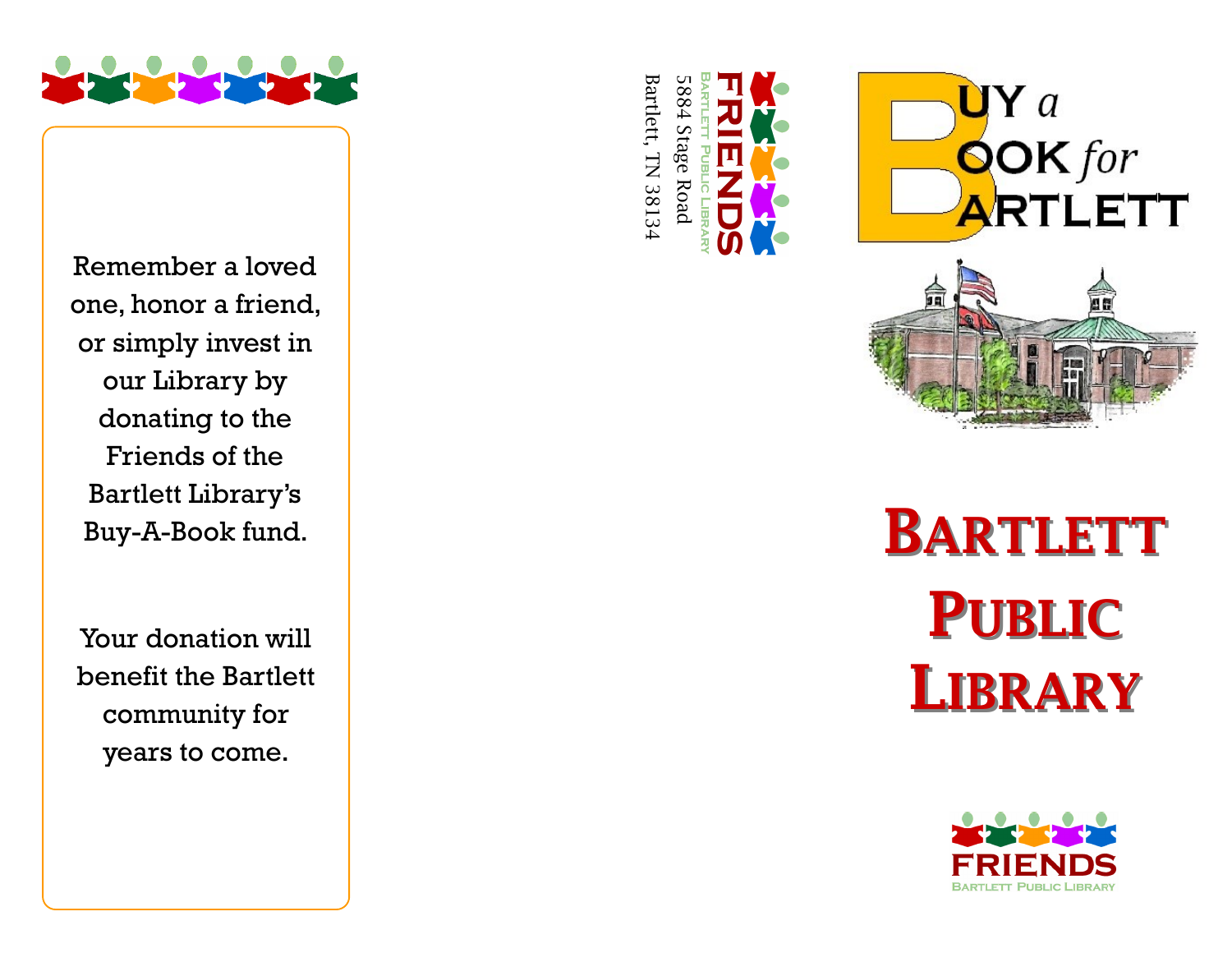

Remember a loved one, honor a friend, or simply invest in our Library by donating to the Friends of the Bartlett Library's Buy - A -Book fund.

Your donation will benefit the Bartlett community for years to come.







# **BARTLETT PUBLIC LIBRARY**